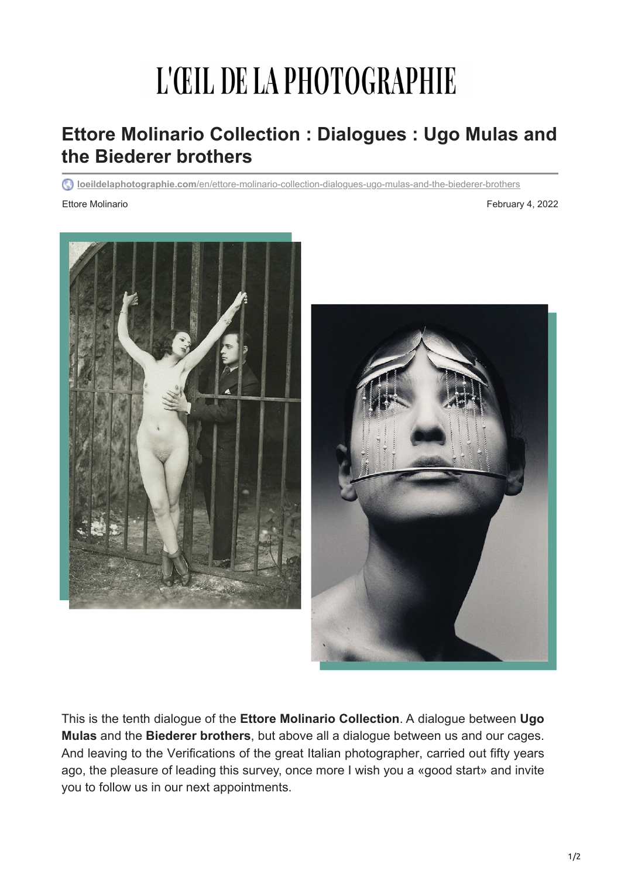## L'ŒIL DE LA PHOTOGRAPHIE

## **Ettore Molinario Collection : Dialogues : Ugo Mulas and the Biederer brothers**

**loeildelaphotographie.com**[/en/ettore-molinario-collection-dialogues-ugo-mulas-and-the-biederer-brothers](https://loeildelaphotographie.com/en/ettore-molinario-collection-dialogues-ugo-mulas-and-the-biederer-brothers/?utm_source=Liste+ODLP+nouvelle+version&utm_campaign=5a3e4134d9-Edition+of+February+4th%252C+2022&utm_medium=email&utm_term=0_27b3627ade-5a3e4134d9-%5BLIST_EMAIL_ID%5D&ct=t(Newsletter+EN+02042022))

Ettore Molinario **February 4, 2022** 



This is the tenth dialogue of the **Ettore Molinario Collection**. A dialogue between **Ugo Mulas** and the **Biederer brothers**, but above all a dialogue between us and our cages. And leaving to the Verifications of the great Italian photographer, carried out fifty years ago, the pleasure of leading this survey, once more I wish you a «good start» and invite you to follow us in our next appointments.